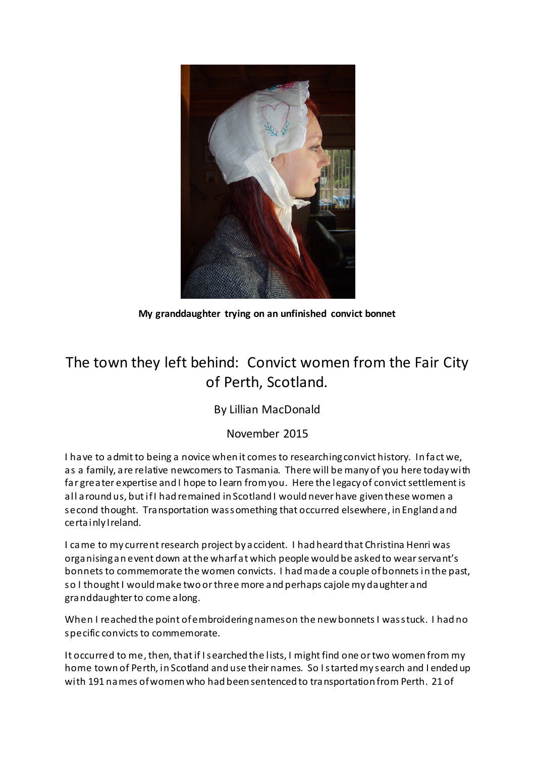

My granddaughter trying on an unfinished convict bonnet

## The town they left behind: Convict women from the Fair City of Perth, Scotland.

### By Lillian MacDonald

### November 2015

I have to admit to being a novice when it comes to researching convict history. In fact we, as a family, are relative newcomers to Tasmania. There will be many of you here today with far greater expertise and I hope to learn from you. Here the legacy of convict settlement is all around us, but if I had remained in Scotland I would never have given these women a second thought. Transportation was something that occurred elsewhere, in England and certainly Ireland.

I came to my current research project by accident. I had heard that Christina Henri was organising an event down at the wharf at which people would be asked to wear servant's bonnets to commemorate the women convicts. I had made a couple of bonnets in the past, so I thought I would make two or three more and perhaps cajole my daughter and granddaughter to come along.

When I reached the point of embroidering names on the new bonnets I was stuck. I had no specific convicts to commemorate.

It occurred to me, then, that if I searched the lists, I might find one or two women from my home town of Perth, in Scotland and use their names. So I started my search and I ended up with 191 names of women who had been sentenced to transportation from Perth. 21 of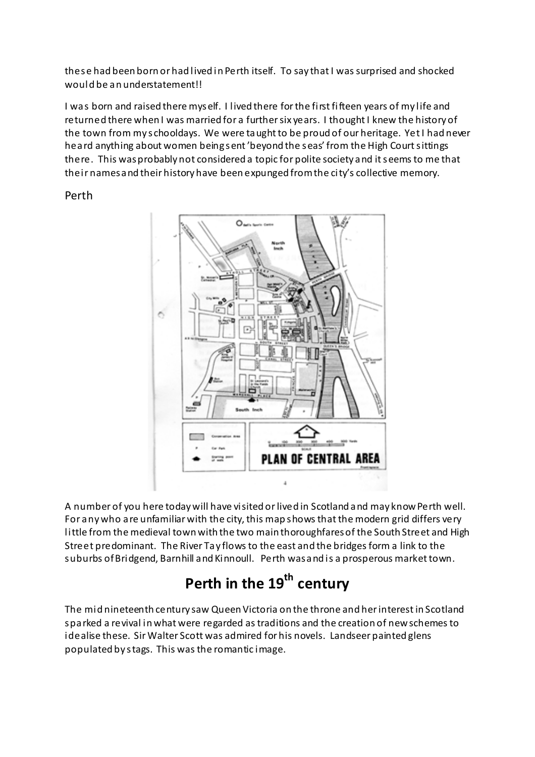these had been born or had lived in Perth itself. To say that I was surprised and shocked would be an understatement!!

I was born and raised there myself. I lived there for the first fifteen years of my life and returned there when I was married for a further six years. I thought I knew the history of the town from my schooldays. We were taught to be proud of our heritage. Yet I had never heard anything about women being sent 'beyond the seas' from the High Court sittings there. This was probably not considered a topic for polite society and it seems to me that their names and their history have been expunged from the city's collective memory.

### Perth



A number of you here today will have visited or lived in Scotland and may know Perth well. For any who are unfamiliar with the city, this map shows that the modern grid differs very little from the medieval town with the two main thoroughfares of the South Street and High Street predominant. The River Tay flows to the east and the bridges form a link to the suburbs of Bridgend, Barnhill and Kinnoull. Perth was and is a prosperous market town.

# Perth in the 19<sup>th</sup> century

The mid nineteenth century saw Queen Victoria on the throne and her interest in Scotland sparked a revival in what were regarded as traditions and the creation of new schemes to idealise these. Sir Walter Scott was admired for his novels. Landseer painted glens populated by stags. This was the romantic image.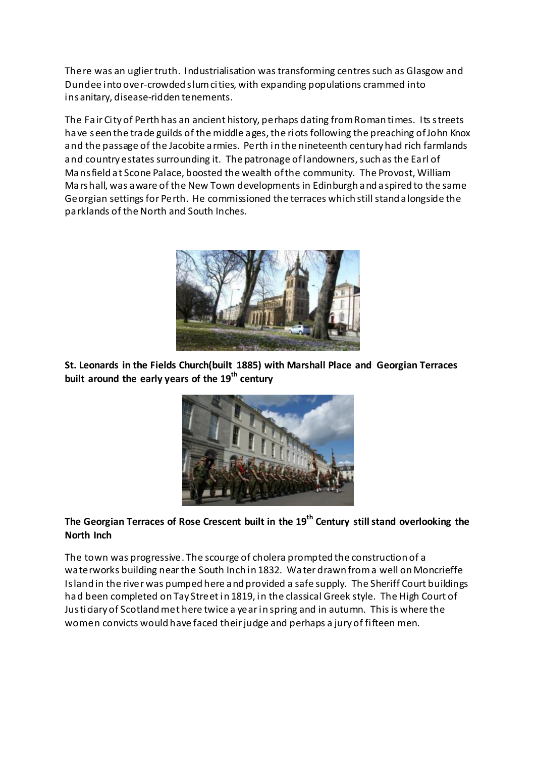There was an uglier truth. Industrialisation was transforming centres such as Glasgow and Dundee into over-crowded slum cities, with expanding populations crammed into insanitary, disease-ridden tenements.

The Fair City of Perth has an ancient history, perhaps dating from Roman times. Its streets have seen the trade guilds of the middle ages, the riots following the preaching of John Knox and the passage of the Jacobite armies. Perth in the nineteenth century had rich farmlands and country estates surrounding it. The patronage of landowners, such as the Earl of Mansfield at Scone Palace, boosted the wealth of the community. The Provost, William Marshall, was aware of the New Town developments in Edinburgh and aspired to the same Georgian settings for Perth. He commissioned the terraces which still stand alongside the parklands of the North and South Inches.



St. Leonards in the Fields Church(built 1885) with Marshall Place and Georgian Terraces built around the early years of the  $19<sup>th</sup>$  century



### The Georgian Terraces of Rose Crescent built in the 19<sup>th</sup> Century still stand overlooking the North Inch

The town was progressive. The scourge of cholera prompted the construction of a waterworks building near the South Inch in 1832. Water drawn from a well on Moncrieffe Island in the river was pumped here and provided a safe supply. The Sheriff Court buildings had been completed on Tay Street in 1819, in the classical Greek style. The High Court of Justiciary of Scotland met here twice a year in spring and in autumn. This is where the women convicts would have faced their judge and perhaps a jury of fifteen men.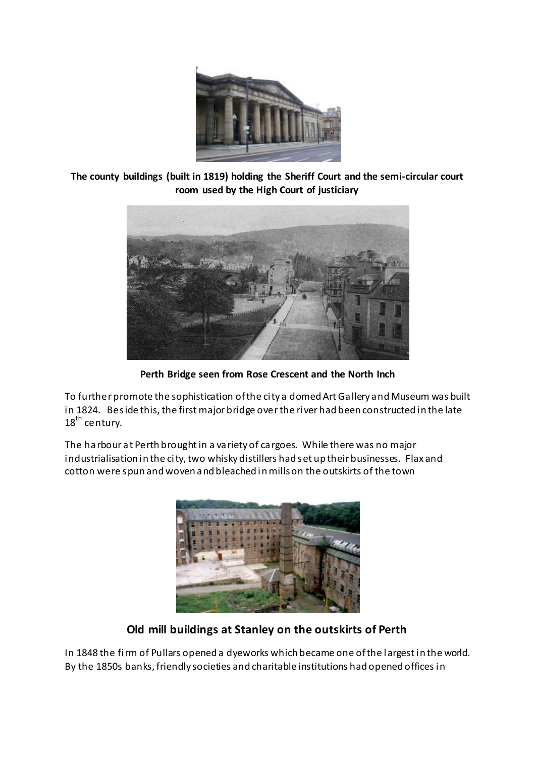

The county buildings (built in 1819) holding the Sheriff Court and the semi-circular court room used by the High Court of justiciary



Perth Bridge seen from Rose Crescent and the North Inch

To further promote the sophistication of the city a domed Art Gallery and Museum was built in 1824. Beside this, the first major bridge over the river had been constructed in the late  $18<sup>th</sup>$  century.

The harbour at Perth brought in a variety of cargoes. While there was no major industrialisation in the city, two whisky distillers had set up their businesses. Flax and cotton were spun and woven and bleached in mills on the outskirts of the town



Old mill buildings at Stanley on the outskirts of Perth

In 1848 the firm of Pullars opened a dyeworks which became one of the largest in the world. By the 1850s banks, friendly societies and charitable institutions had opened offices in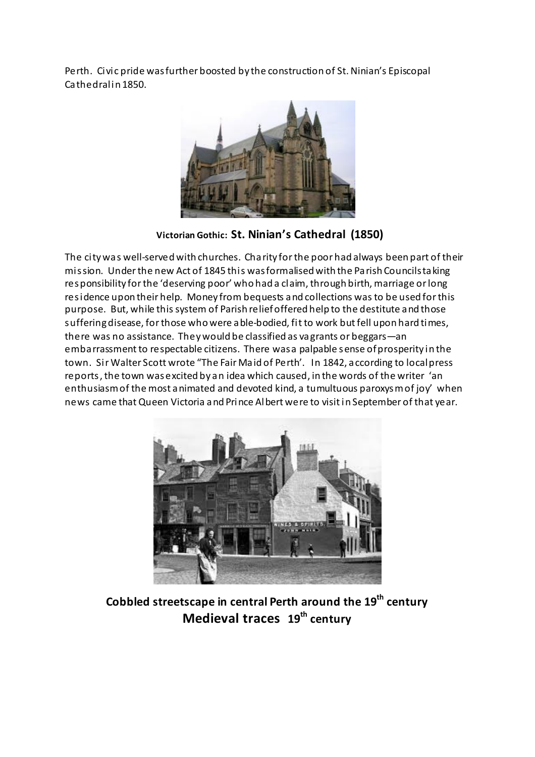Perth. Civic pride was further boosted by the construction of St. Ninian's Episcopal Cathedral in 1850.



Victorian Gothic: St. Ninian's Cathedral (1850)

The city was well-served with churches. Charity for the poor had always been part of their mission. Under the new Act of 1845 this was formalised with the Parish Councils taking responsibility for the 'deserving poor' who had a claim, through birth, marriage or long residence upon their help. Money from bequests and collections was to be used for this purpose. But, while this system of Parish relief offered help to the destitute and those suffering disease, for those who were able-bodied, fit to work but fell upon hard times, there was no assistance. They would be classified as vagrants or beggars—an embarrassment to respectable citizens. There was a palpable sense of prosperity in the town. Sir Walter Scott wrote "The Fair Maid of Perth'. In 1842, according to local press reports, the town was excited by an idea which caused, in the words of the writer 'an enthusiasm of the most animated and devoted kind, a tumultuous paroxysm of joy' when news came that Queen Victoria and Prince Albert were to visit in September of that year.



Cobbled streetscape in central Perth around the 19<sup>th</sup> century Medieval traces  $19<sup>th</sup>$  century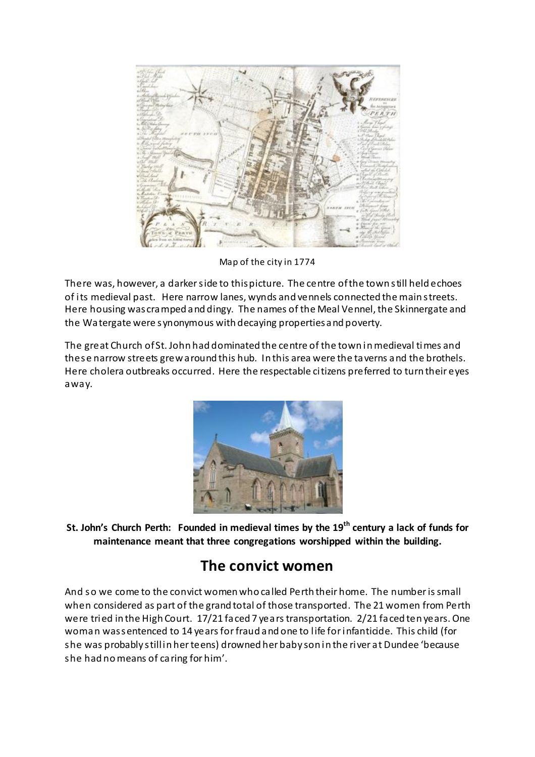

Map of the city in 1774

There was, however, a darker side to this picture. The centre of the town still held echoes of its medieval past. Here narrow lanes, wynds and vennels connected the main streets. Here housing was cramped and dingy. The names of the Meal Vennel, the Skinnergate and the Watergate were synonymous with decaying properties and poverty.

The great Church of St. John had dominated the centre of the town in medieval times and these narrow streets grew around this hub. In this area were the taverns and the brothels. Here cholera outbreaks occurred. Here the respectable citizens preferred to turn their eyes away.



St. John's Church Perth: Founded in medieval times by the  $19<sup>th</sup>$  century a lack of funds for maintenance meant that three congregations worshipped within the building.

### The convict women

And so we come to the convict women who called Perth their home. The number is small when considered as part of the grand total of those transported. The 21 women from Perth were tried in the High Court. 17/21 faced 7 years transportation. 2/21 faced ten years. One woman was sentenced to 14 years for fraud and one to life for infanticide. This child (for she was probably still in her teens) drowned her baby son in the river at Dundee 'because she had no means of caring for him'.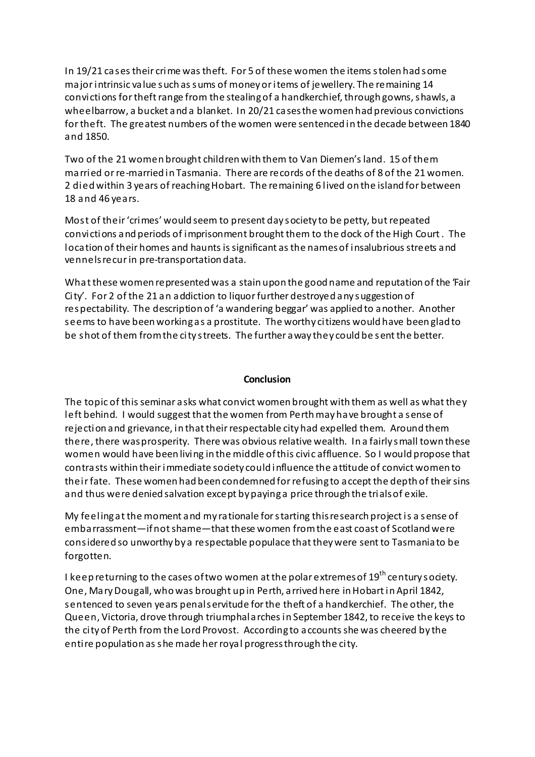In 19/21 cases their crime was theft. For 5 of these women the items stolen had some major intrinsic value such as sums of money or items of jewellery. The remaining 14 convictions for theft range from the stealing of a handkerchief, through gowns, shawls, a wheelbarrow, a bucket and a blanket. In 20/21 cases the women had previous convictions for theft. The greatest numbers of the women were sentenced in the decade between 1840 and 1850.

Two of the 21 women brought children with them to Van Diemen's land. 15 of them married or re-married in Tasmania. There are records of the deaths of 8 of the 21 women. 2 died within 3 years of reaching Hobart. The remaining 6 lived on the island for between 18 and 46 years.

Most of their 'crimes' would seem to present day society to be petty, but repeated convictions and periods of imprisonment brought them to the dock of the High Court . The location of their homes and haunts is significant as the names of insalubrious streets and vennels recur in pre-transportation data.

What these women represented was a stain upon the good name and reputation of the 'Fair City'. For 2 of the 21 an addiction to liquor further destroyed any suggestion of respectability. The description of 'a wandering beggar' was applied to another. Another seems to have been working as a prostitute. The worthy citizens would have been glad to be shot of them from the city streets. The further away they could be sent the better.

#### **Conclusion**

The topic of this seminar asks what convict women brought with them as well as what they left behind. I would suggest that the women from Perth may have brought a sense of rejection and grievance, in that their respectable city had expelled them. Around them there, there was prosperity. There was obvious relative wealth. In a fairly small town these women would have been living in the middle of this civic affluence. So I would propose that contrasts within their immediate society could influence the attitude of convict women to their fate. These women had been condemned for refusing to accept the depth of their sins and thus were denied salvation except by paying a price through the trials of exile.

My feeling at the moment and my rationale for starting this research project is a sense of embarrassment—if not shame—that these women from the east coast of Scotland were considered so unworthy by a respectable populace that they were sent to Tasmania to be forgotten.

I keep returning to the cases of two women at the polar extremes of  $19<sup>th</sup>$  century society. One, Mary Dougall, who was brought up in Perth, arrived here in Hobart in April 1842, sentenced to seven years penal servitude for the theft of a handkerchief. The other, the Queen, Victoria, drove through triumphal arches in September 1842, to receive the keys to the city of Perth from the Lord Provost. According to accounts she was cheered by the entire population as she made her royal progress through the city.